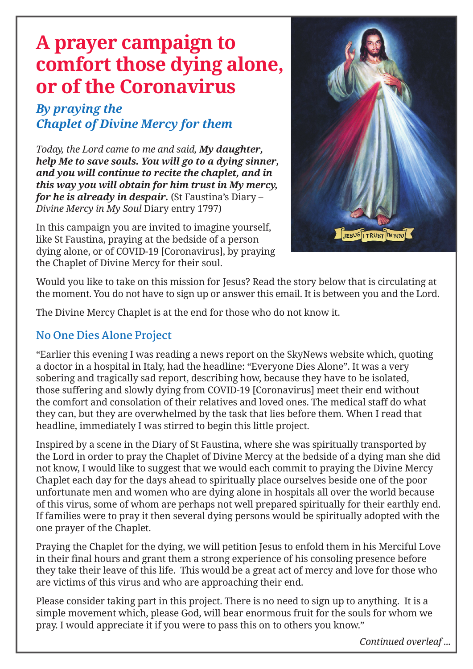# **A prayer campaign to comfort those dying alone, or of the Coronavirus**

## *By praying the Chaplet of Divine Mercy for them*

*Today, the Lord came to me and said, My daughter, help Me to save souls. You will go to a dying sinner, and you will continue to recite the chaplet, and in this way you will obtain for him trust in My mercy, for he is already in despair.* (St Faustina's Diary – *Divine Mercy in My Soul* Diary entry 1797)

In this campaign you are invited to imagine yourself, like St Faustina, praying at the bedside of a person dying alone, or of COVID-19 [Coronavirus], by praying the Chaplet of Divine Mercy for their soul.



Would you like to take on this mission for Jesus? Read the story below that is circulating at the moment. You do not have to sign up or answer this email. It is between you and the Lord.

The Divine Mercy Chaplet is at the end for those who do not know it.

### **No One Dies Alone Project**

"Earlier this evening I was reading a news report on the SkyNews website which, quoting a doctor in a hospital in Italy, had the headline: "Everyone Dies Alone". It was a very sobering and tragically sad report, describing how, because they have to be isolated, those suffering and slowly dying from COVID-19 [Coronavirus] meet their end without the comfort and consolation of their relatives and loved ones. The medical staff do what they can, but they are overwhelmed by the task that lies before them. When I read that headline, immediately I was stirred to begin this little project.

Inspired by a scene in the Diary of St Faustina, where she was spiritually transported by the Lord in order to pray the Chaplet of Divine Mercy at the bedside of a dying man she did not know, I would like to suggest that we would each commit to praying the Divine Mercy Chaplet each day for the days ahead to spiritually place ourselves beside one of the poor unfortunate men and women who are dying alone in hospitals all over the world because of this virus, some of whom are perhaps not well prepared spiritually for their earthly end. If families were to pray it then several dying persons would be spiritually adopted with the one prayer of the Chaplet.

Praying the Chaplet for the dying, we will petition Jesus to enfold them in his Merciful Love in their final hours and grant them a strong experience of his consoling presence before they take their leave of this life. This would be a great act of mercy and love for those who are victims of this virus and who are approaching their end.

Please consider taking part in this project. There is no need to sign up to anything. It is a simple movement which, please God, will bear enormous fruit for the souls for whom we pray. I would appreciate it if you were to pass this on to others you know."

*Continued overleaf ...*